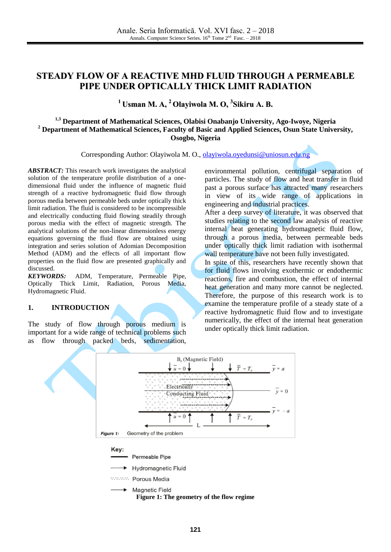# **STEADY FLOW OF A REACTIVE MHD FLUID THROUGH A PERMEABLE PIPE UNDER OPTICALLY THICK LIMIT RADIATION**

## **<sup>1</sup> Usman M. A, <sup>2</sup> Olayiwola M. O, 3 Sikiru A. B.**

## **1,3 Department of Mathematical Sciences, Olabisi Onabanjo University, Ago-Iwoye, Nigeria <sup>2</sup> Department of Mathematical Sciences, Faculty of Basic and Applied Sciences, Osun State University, Osogbo, Nigeria**

Corresponding Author: Olayiwola M. O., [olayiwola.oyedunsi@uniosun.edu.ng](mailto:olayiwola.oyedunsi@uniosun.edu.ng)

*ABSTRACT:* This research work investigates the analytical solution of the temperature profile distribution of a onedimensional fluid under the influence of magnetic fluid strength of a reactive hydromagnetic fluid flow through porous media between permeable beds under optically thick limit radiation. The fluid is considered to be incompressible and electrically conducting fluid flowing steadily through porous media with the effect of magnetic strength. The analytical solutions of the non-linear dimensionless energy equations governing the fluid flow are obtained using integration and series solution of Adomian Decomposition Method (ADM) and the effects of all important flow properties on the fluid flow are presented graphically and discussed.

*KEYWORDS:* ADM, Temperature, Permeable Pipe, Optically Thick Limit, Radiation, Porous Media, Hydromagnetic Fluid.

### **1. INTRODUCTION**

The study of flow through porous medium is important for a wide range of technical problems such as flow through packed beds, sedimentation, environmental pollution, centrifugal separation of particles. The study of flow and heat transfer in fluid past a porous surface has attracted many researchers in view of its wide range of applications in engineering and industrial practices.

After a deep survey of literature, it was observed that studies relating to the second law analysis of reactive internal heat generating hydromagnetic fluid flow, through a porous media, between permeable beds under optically thick limit radiation with isothermal wall temperature have not been fully investigated.

In spite of this, researchers have recently shown that for fluid flows involving exothermic or endothermic reactions, fire and combustion, the effect of internal heat generation and many more cannot be neglected. Therefore, the purpose of this research work is to examine the temperature profile of a steady state of a reactive hydromagnetic fluid flow and to investigate numerically, the effect of the internal heat generation under optically thick limit radiation.

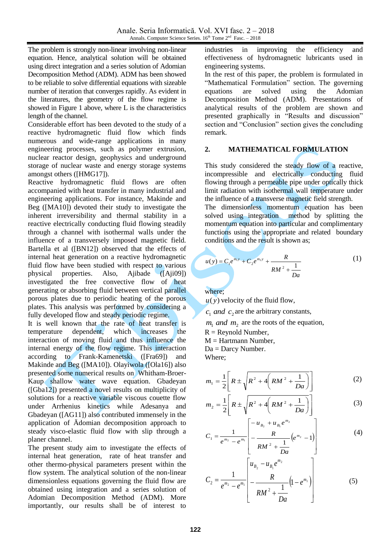The problem is strongly non-linear involving non-linear equation. Hence, analytical solution will be obtained using direct integration and a series solution of Adomian Decomposition Method (ADM). ADM has been showed to be reliable to solve differential equations with sizeable number of iteration that converges rapidly. As evident in the literatures, the geometry of the flow regime is showed in Figure 1 above, where L is the characteristics length of the channel.

Considerable effort has been devoted to the study of a reactive hydromagnetic fluid flow which finds numerous and wide-range applications in many engineering processes, such as polymer extrusion, nuclear reactor design, geophysics and underground storage of nuclear waste and energy storage systems amongst others ([HMG17]).

Reactive hydromagnetic fluid flows are often accompanied with heat transfer in many industrial and engineering applications. For instance, Makinde and Beg ([MA10]) devoted their study to investigate the inherent irreversibility and thermal stability in a reactive electrically conducting fluid flowing steadily through a channel with isothermal walls under the influence of a transversely imposed magnetic field. Bartella et al ([BN12]) observed that the effects of internal heat generation on a reactive hydromagnetic fluid flow have been studied with respect to various physical properties. Also, Ajibade ([Aji09]) investigated the free convective flow of heat generating or absorbing fluid between vertical parallel porous plates due to periodic heating of the porous plates. This analysis was performed by considering a fully developed flow and steady periodic regime.

It is well known that the rate of heat transfer is temperature dependent, which increases the interaction of moving fluid and thus influence the internal energy of the flow regime. This interaction according to Frank-Kamenetski ([Fra69]) and Makinde and Beg ([MA10]). Olayiwola ([Ola16]) also presented some numerical results on Whitham-Broer-Kaup shallow water wave equation. Gbadeyan ([Gba12]) presented a novel results on multiplicity of solutions for a reactive variable viscous couette flow under Arrhenius kinetics while Adesanya and Gbadeyan ([AG11]) also contributed immensely in the application of Ädomian decomposition approach to steady visco-elastic fluid flow with slip through a planer channel.

The present study aim to investigate the effects of internal heat generation, rate of heat transfer and other thermo-physical parameters present within the flow system. The analytical solution of the non-linear dimensionless equations governing the fluid flow are obtained using integration and a series solution of Adomian Decomposition Method (ADM). More importantly, our results shall be of interest to industries in improving the efficiency and effectiveness of hydromagnetic lubricants used in engineering systems.

In the rest of this paper, the problem is formulated in "Mathematical Formulation" section. The governing equations are solved using the Adomian Decomposition Method (ADM). Presentations of analytical results of the problem are shown and presented graphically in "Results and discussion" section and "Conclusion" section gives the concluding remark.

### **2. MATHEMATICAL FORMULATION**

This study considered the steady flow of a reactive, incompressible and electrically conducting fluid flowing through a permeable pipe under optically thick limit radiation with isothermal wall temperature under the influence of a transverse magnetic field strength.

The dimensionless momentum equation has been solved using integration method by splitting the momentum equation into particular and complimentary functions using the appropriate and related boundary conditions and the result is shown as;

$$
u(y) = C_1 e^{m_1 y} + C_2 e^{m_2 y} + \frac{R}{RM^2 + \frac{1}{Da}}
$$
 (1)

where;

 $u(y)$  velocity of the fluid flow,

 $c_1$  *and*  $c_2$  are the arbitrary constants,

 $m_1$  *and*  $m_2$  are the roots of the equation,

 $R =$  Reynold Number,

 $M = Hartmann$  Number,

Da = Darcy Number.

Where;

$$
m_1 = \frac{1}{2} \left[ R \pm \sqrt{R^2 + 4 \left( RM^2 + \frac{1}{Da} \right)} \right]
$$
 (2)

$$
m_2 = \frac{1}{2} \left[ R \pm \sqrt{R^2 + 4 \left( RM^2 + \frac{1}{Da} \right)} \right]
$$
 (3)

$$
C_1 = \frac{1}{e^{m_2} - e^{m_1}} \left[ -\frac{R}{RM^2 + \frac{1}{Da}} \left( e^{m_2} - 1 \right) \right]
$$
 (4)

$$
C_{2} = \frac{1}{e^{m_{2}} - e^{m_{1}}} \left[ \frac{u_{B_{2}} - u_{B_{1}}e^{m_{2}}}{RM^{2} + \frac{1}{Da}} \left(1 - e^{m_{1}}\right) \right]
$$
(5)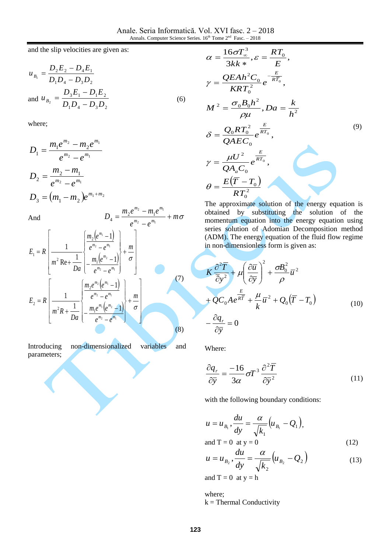and the slip velocities are given as:

$$
u_{B_1} = \frac{D_2 E_2 - D_4 E_1}{D_1 D_4 - D_3 D_2}
$$
  
and  $u_{B_2} = \frac{D_3 E_1 - D_1 E_2}{D_1 D_4 - D_3 D_2}$  (6)

where;

$$
D_1 = \frac{m_1 e^{m_2} - m_2 e^{m_1}}{e^{m_2} - e^{m_1}}
$$
  
\n
$$
D_2 = \frac{m_2 - m_1}{e^{m_2} - e^{m_1}}
$$
  
\n
$$
D_3 = (m_1 - m_2)e^{m_1 + m_2}
$$
  
\nAnd  
\n
$$
D_4 = \frac{m_2 e^{m_2} - m_1 e^{m_1}}{m_1 + m_2} + m_4
$$

And

$$
E_{1} = R \left[ \frac{1}{m^{2} \operatorname{Re} + \frac{1}{Da}} \left\{ \frac{m_{2} (e^{m_{1}} - 1)}{e^{m_{2}} - e^{m_{1}}} \right\} + \frac{m}{\sigma} \right]
$$
\n
$$
E_{2} = R \left[ \frac{1}{m^{2} \operatorname{Re} + \frac{1}{Da}} \left\{ \frac{m_{2} e^{m_{2}} (e^{m_{1}} - 1)}{e^{m_{2}} - e^{m_{1}}} \right\} + \frac{m}{\sigma} \right]
$$
\n
$$
E_{2} = R \left[ \frac{1}{m^{2} R + \frac{1}{Da}} \left\{ \frac{m_{2} e^{m_{2}} (e^{m_{1}} - 1)}{e^{m_{2}} - e^{m_{1}}} \right\} + \frac{m}{\sigma} \right]
$$
\n(7)

Introducing non-dimensionalized variables and parameters;

$$
\alpha = \frac{16\sigma T_{\infty}^{3}}{3kk*}, \varepsilon = \frac{RT_{0}}{E},
$$
\n
$$
\gamma = \frac{QEAh^{2}C_{0}}{KRT_{0}^{2}}e^{-\frac{E}{RT_{0}}},
$$
\n
$$
M^{2} = \frac{\sigma_{0}B_{0}h^{2}}{\rho\mu}, Da = \frac{k}{h^{2}}
$$
\n
$$
\delta = \frac{Q_{0}RT_{0}^{2}}{QAEC_{0}}e^{\frac{E}{RT_{0}}},
$$
\n
$$
\gamma = \frac{\mu U^{2}}{QA_{a}C_{0}}e^{\frac{E}{RT_{0}}},
$$
\n
$$
\theta = \frac{E(\overline{T} - T_{0})}{RT_{0}^{2}}
$$
\n(9)

The approximate solution of the energy equation is obtained by substituting the solution of the momentum equation into the energy equation using series solution of Adomian Decomposition method (ADM). The energy equation of the fluid flow regime in non-dimensionless form is given as:

$$
K\frac{\partial^2 \overline{T}}{\overline{\partial}y^2} + \mu \left(\frac{\partial \overline{u}}{\partial \overline{y}}\right)^2 + \frac{\sigma B_0^2}{\rho} \overline{u}^2
$$
  
+  $QC_0 A e^{\frac{E}{R\overline{T}}} + \frac{\mu}{k} \overline{u}^2 + Q_0 (\overline{T} - T_0)$   
-  $\frac{\partial q_r}{\partial \overline{y}} = 0$  (10)

Where:

$$
\frac{\partial q_r}{\partial \bar{y}} = \frac{-16}{3\alpha} \sigma T^3 \frac{\partial^2 \bar{T}}{\partial \bar{y}^2}
$$
 (11)

with the following boundary conditions:

$$
u = u_{B_1}, \frac{du}{dy} = \frac{\alpha}{\sqrt{k_1}} \Big( u_{B_1} - Q_1 \Big),
$$

and 
$$
T = 0
$$
 at  $y = 0$  (12)

$$
u = u_{B_2}, \frac{du}{dy} = \frac{\alpha}{\sqrt{k_2}} \left( u_{B_2} - Q_2 \right)
$$
 (13)

and  $T = 0$  at  $y = h$ 

where;  $k =$  Thermal Conductivity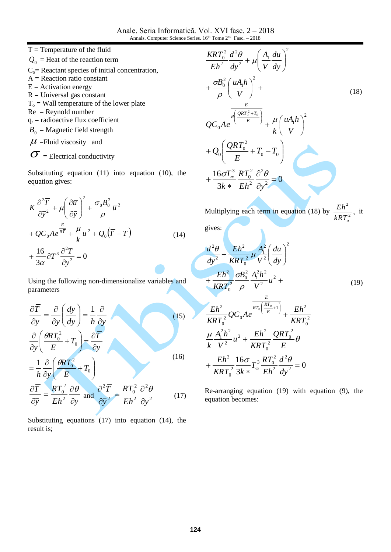Anale. Seria Informatică. Vol. XVI fasc. 2 – 2018 Annals. Computer Science Series.  $16<sup>th</sup>$  Tome  $2<sup>nd</sup>$  Fasc.  $-2018$ 

 $T =$ Temperature of the fluid  $Q_0$  = Heat of the reaction term  $C<sub>o</sub>=$  Reactant species of initial concentration,  $A =$  Reaction ratio constant  $E =$  Activation energy  $R =$ Universal gas constant  $T<sub>o</sub>$  = Wall temperature of the lower plate  $Re =$  Reynold number  $q_r$  = radioactive flux coefficient  $B_0$  = Magnetic field strength  $\mu$  =Fluid viscosity and

 $\sqrt{ }$ 

$$
O = Electrical conductivity
$$

Substituting equation (11) into equation (10), the equation gives:

$$
K \frac{\partial^2 \overline{T}}{\partial \overline{y}^2} + \mu \left( \frac{\partial \overline{u}}{\partial \overline{y}} \right)^2 + \frac{\sigma_0 B_0^2}{\rho} \overline{u}^2
$$
  
+  $QC_0 A e^{\frac{E}{R\overline{T}}} + \frac{\mu}{k} \overline{u}^2 + Q_0 (\overline{T} - T)$   
+  $\frac{16}{3\alpha} \partial T^3 \frac{\partial^2 \overline{T}}{\partial y^2} = 0$  (14)

Using the following non-dimensionalize variables and parameters

$$
\frac{\partial \overline{T}}{\partial \overline{y}} = \frac{\partial}{\partial y} \left( \frac{dy}{d\overline{y}} \right) = \frac{1}{h} \frac{\partial}{\partial y}
$$
\n
$$
\frac{\partial}{\partial \overline{y}} \left( \frac{\theta RT_0^2}{E} + T_0 \right) = \frac{\partial \overline{T}}{\partial \overline{y}}
$$
\n
$$
= \frac{1}{h} \frac{\partial}{\partial y} \left( \frac{\theta RT_0^2}{E} + T_0 \right)
$$
\n
$$
\frac{\partial \overline{T}}{\partial \overline{y}} = \frac{RT_0^2}{Eh^2} \frac{\partial \theta}{\partial y} \text{ and } \frac{\partial^2 \overline{T}}{\partial \overline{y}^2} = \frac{RT_0^2}{Eh^2} \frac{\partial^2 \theta}{\partial y^2} \tag{17}
$$

Substituting equations (17) into equation (14), the result is;

$$
\frac{KRT_0^2}{Eh^2} \frac{d^2\theta}{dy^2} + \mu \left(\frac{A_1}{V} \frac{du}{dy}\right)^2
$$
  
+ 
$$
\frac{\sigma B_0^2}{\rho} \left(\frac{uA_1h}{V}\right)^2 + \frac{E}{\rho}
$$
  

$$
QC_0Ae^{-R\left(\frac{QRT_0^2 + T_0}{E}\right)} + \frac{\mu}{k} \left(\frac{uA_1h}{V}\right)^2
$$
  
+ 
$$
Q_0\left(\frac{QRT_0^2}{E} + T_0 - T_0\right)
$$
  
+ 
$$
\frac{16\sigma T_{\infty}^3}{3k * Eh^2} \frac{RT_0^2}{\partial y^2} = 0
$$

Multiplying each term in equation (18) by  $\frac{Eh}{kRT^2}$ ,  $kRT$ <sub>o</sub>  $\frac{Eh^2}{\lambda}$ , it gives:

$$
\frac{d^2\theta}{dy^2} + \frac{Eh^2}{KRT_0^2} \mu \frac{A_i^2}{V^2} \left(\frac{du}{dy}\right)^2 + \frac{Eh^2}{KRT_0^2} \frac{\sigma B_0^2}{\rho} \frac{A_i^2 h^2}{V^2} u^2 +
$$
\n(19)

$$
\frac{Eh^2}{RRT_0^2}QC_0Ae^{RT_0\left(\frac{RT_0}{E}+1\right)} + \frac{Eh^2}{RRT_0^2}
$$
\n
$$
\frac{\mu}{k}\frac{A_1^2h^2}{V^2}u^2 + \frac{Eh^2}{RRT_0^2}\frac{QRT_0^2}{E} \theta
$$
\n
$$
+ \frac{Eh^2}{RRT_0^2}\frac{16\sigma}{3k*}T_\infty^3\frac{RT_0^2}{Eh^2}\frac{d^2\theta}{dy^2} = 0
$$

Re-arranging equation (19) with equation (9), the equation becomes: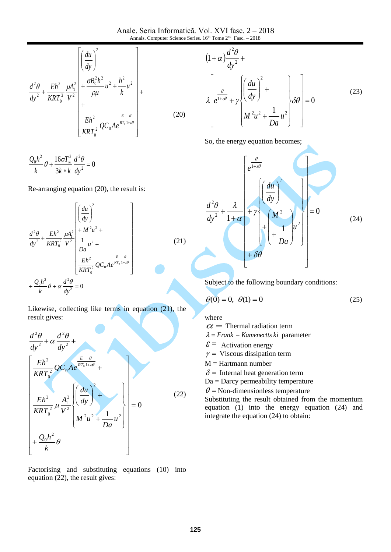Anale. Seria Informatică. Vol. XVI fasc. 2 – 2018 Annals. Computer Science Series.  $16<sup>th</sup>$  Tome  $2<sup>nd</sup>$  Fasc.  $-2018$ 

$$
\frac{d^2\theta}{dy^2} + \frac{Eh^2}{KRT_0^2} \frac{\mu A_1^2}{V^2} \begin{vmatrix} \left(\frac{du}{dy}\right)^2 \\ + \frac{\sigma B_0^2 h^2}{\rho \mu} u^2 + \frac{h^2}{k} u^2 \\ + \frac{Eh^2}{KRT_0^2} \mathcal{Q} C_0 A e^{\frac{E}{RT_0}1 + \omega \theta} \end{vmatrix} +
$$
\n(20)

$$
\frac{Q_0h^2}{k}\theta + \frac{16\sigma T_\infty^3}{3k*k}\frac{d^2\theta}{dy^2} = 0
$$

Re-arranging equation (20), the result is:

$$
\frac{d^2\theta}{dy^2} + \frac{Eh^2}{KRT_0^2} \frac{\mu A_1^2}{V^2} \left[ \frac{4M^2 u^2}{2M^2} + \frac{4M^2 u^2}{2M^2} \right]
$$
\n
$$
+ \frac{Q_0 h^2}{k} \theta + \alpha \frac{d^2\theta}{dy^2} = 0
$$
\n(21)

Likewise, collecting like terms in equation (21), the result gives:

$$
\frac{d^2\theta}{dy^2} + \alpha \frac{d^2\theta}{dy^2} + \frac{d^2\theta}{dy^2} + \frac{E}{RRT_0^2}QC_0Ae^{\frac{E}{RT_0+2\theta}} + \frac{Eh^2}{kRT_0^2}\mu\frac{A_1^2}{V^2}\left(\frac{du}{dy}\right)^2 + \frac{Eh^2}{M^2u^2 + \frac{1}{Da}u^2} = 0
$$
\n(22)

Factorising and substituting equations (10) into equation (22), the result gives:

$$
(1+\alpha)\frac{d^2\theta}{dy^2} + \lambda \left[\frac{d}{dy}\left(\frac{du}{dy}\right)^2 + \lambda \left(\frac{du}{dy}\right)^2 + \lambda \left(\frac{du}{dy}\right)^2\right] = 0
$$
\n(23)

So, the energy equation becomes;

$$
\frac{d^2\theta}{dy^2} + \frac{\lambda}{1+\alpha} + \gamma \left\{ \frac{du}{dy} \right\}^2
$$
\n
$$
+ \delta\theta
$$
\n(24)

Subject to the following boundary conditions:

$$
\theta(0) = 0, \ \theta(1) = 0 \tag{25}
$$

where

 $\alpha$  = Thermal radiation term

 $\lambda$  = Frank – Kamenectts ki parameter

- $\epsilon$  = Activation energy
- $\gamma$  = Viscous dissipation term
- $M = Hartmann$  number
- $\delta$  = Internal heat generation term
- Da = Darcy permeability temperature

 $\theta$  = Non-dimensionless temperature

Substituting the result obtained from the momentum equation (1) into the energy equation (24) and integrate the equation (24) to obtain: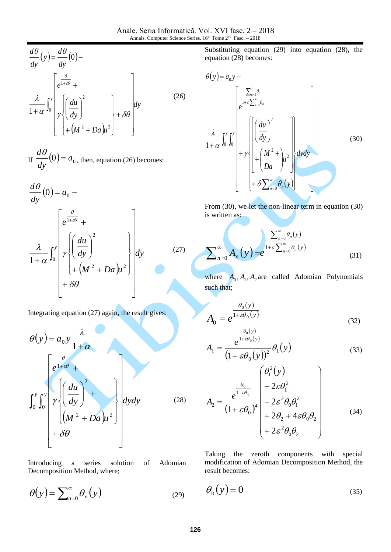$$
\frac{d\theta}{dy}(y) = \frac{d\theta}{dy}(0) - \frac{\theta}{dx}(0) - \frac{\theta}{1 + \alpha} \int_0^y \left[ e^{\frac{\theta}{1 + \alpha \theta}} + \frac{\alpha}{1 + \alpha} \int_0^y \left( \frac{du}{dy} \right)^2 + \delta \theta \right] dy
$$
\n(26)

If  $\frac{av}{l}(0) = a_0$ *dy d*  $\frac{\theta}{\cdot}(0) =$ , then, equation (26) becomes:

$$
\frac{d\theta}{dy}(0) = a_0 - \frac{d\theta}{dy}(0) = a_0 - \frac{d\theta}{dy}
$$
\n
$$
\frac{\lambda}{1+\alpha} \int_0^y \left[ \gamma \left( \frac{du}{dy} \right)^2 + \left( M^2 + Da \right) u^2 \right] dy
$$
\n
$$
+ \delta\theta
$$
\n(27)

Integrating equation (27) again, the result gives:

$$
\theta(y) = a_0 y \frac{\lambda}{1+\alpha}
$$
\n
$$
\int_0^y \int_0^y \left( \frac{du}{dy} \right)^2 + \int \left( \frac{du}{(M^2 + Da)u^2} \right) dy dy
$$
\n(28)

Introducing a series solution of Adomian Decomposition Method, where;

$$
\theta(y) = \sum_{n=0}^{\infty} \theta_n(y) \tag{29}
$$

Substituting equation (29) into equation (28), the equation (28) becomes:

$$
\theta(y) = a_0 y - \frac{\left[\sum_{n=0}^{\infty} \theta_n\right]}{e^{1+\varepsilon \sum_{n=0}^{\infty} \theta_n}}
$$
\n
$$
\frac{\lambda}{1+\alpha} \int_0^y \int_0^y \left[\left(\frac{du}{dy}\right)^2 + \gamma \left[\left(\frac{du}{da}\right)^2 + \left(\frac{M^2}{Da}\right)^2\right] dy dy\right]
$$
\n
$$
+ \delta \sum_{n=0}^{\infty} \theta_n(y)
$$
\n(30)

From (30), we let the non-linear term in equation (30) is written as:

$$
\sum_{n=0}^{\infty} A_n(y) = e^{\frac{\sum_{n=0}^{\infty} \theta_n(y)}{1 + \varepsilon \sum_{n=0}^{\infty} \theta_n(y)}}
$$
(31)

where  $A_0$ ,  $A_1$ ,  $A_2$  are called Adomian Polynomials such that;

$$
A_0 = e^{\frac{\theta_0(y)}{1 + \varepsilon \theta_0(y)}}
$$
(32)

$$
A_1 = \frac{e^{1+\varepsilon\theta_0(y)}}{\left(1+\varepsilon\theta_0(y)\right)^2} \theta_1(y) \tag{33}
$$

$$
A_2 = \frac{e^{\frac{\theta_0}{1+\varepsilon\theta_0}}}{(1+\varepsilon\theta_0)^4} \begin{pmatrix} \theta_1^2(y) \\ -2\varepsilon\theta_1^2 \\ -2\varepsilon^2\theta_0\theta_1^2 \\ +2\theta_2 + 4\varepsilon\theta_0\theta_2 \\ +2\varepsilon^2\theta_0\theta_2 \end{pmatrix}
$$
(34)

Taking the zeroth components with special modification of Adomian Decomposition Method, the result becomes:

$$
\theta_0(y) = 0 \tag{35}
$$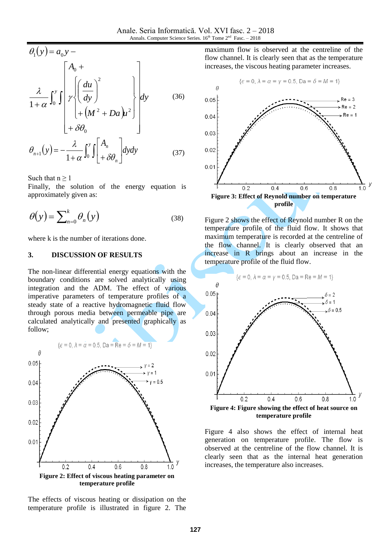$$
\theta_1(y) = a_0 y -
$$
\n
$$
\frac{\lambda}{1 + \alpha} \int_0^y \int \left[ \frac{du}{dy} \right]^2 + \left[ \left( \frac{du}{dy} \right)^2 + \left( \frac{du}{dy} \right)^2 \right] dy \qquad (36)
$$
\n
$$
+ \delta \theta_0
$$

$$
\theta_{n+1}(y) = -\frac{\lambda}{1+\alpha} \int_0^y \int \left[ \frac{A_n}{+\delta \theta_n} \right] dy dy \tag{37}
$$

Such that  $n \geq 1$ 

Finally, the solution of the energy equation is approximately given as:

$$
\theta(y) = \sum_{n=0}^{k} \theta_n(y) \tag{38}
$$

where k is the number of iterations done.

#### **3. DISCUSSION OF RESULTS**

The non-linear differential energy equations with the boundary conditions are solved analytically using integration and the ADM. The effect of various imperative parameters of temperature profiles of a steady state of a reactive hydromagnetic fluid flow through porous media between permeable pipe are calculated analytically and presented graphically as follow;



The effects of viscous heating or dissipation on the temperature profile is illustrated in figure 2. The

maximum flow is observed at the centreline of the flow channel. It is clearly seen that as the temperature increases, the viscous heating parameter increases.



Figure 2 shows the effect of Reynold number R on the temperature profile of the fluid flow. It shows that maximum temperature is recorded at the centreline of the flow channel. It is clearly observed that an increase in R brings about an increase in the temperature profile of the fluid flow.



**temperature profile**

Figure 4 also shows the effect of internal heat generation on temperature profile. The flow is observed at the centreline of the flow channel. It is clearly seen that as the internal heat generation increases, the temperature also increases.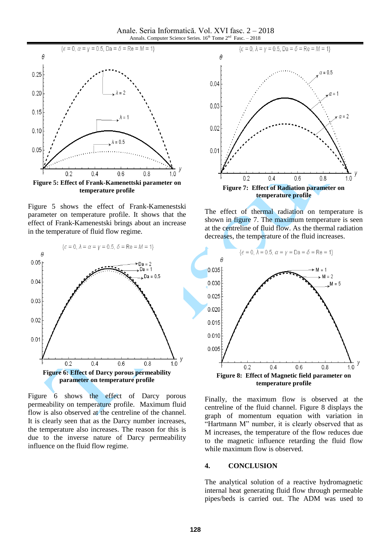Anale. Seria Informatică. Vol. XVI fasc. 2 – 2018 Annals. Computer Science Series.  $16<sup>th</sup>$  Tome  $2<sup>nd</sup>$  Fasc.  $-2018$ 



Figure 5 shows the effect of Frank-Kamenestski parameter on temperature profile. It shows that the effect of Frank-Kamenestski brings about an increase in the temperature of fluid flow regime.



Figure 6 shows the effect of Darcy porous permeability on temperature profile. Maximum fluid flow is also observed at the centreline of the channel. It is clearly seen that as the Darcy number increases, the temperature also increases. The reason for this is due to the inverse nature of Darcy permeability influence on the fluid flow regime.



The effect of thermal radiation on temperature is shown in figure 7. The maximum temperature is seen at the centreline of fluid flow. As the thermal radiation decreases, the temperature of the fluid increases.



Finally, the maximum flow is observed at the centreline of the fluid channel. Figure 8 displays the graph of momentum equation with variation in "Hartmann M" number, it is clearly observed that as M increases, the temperature of the flow reduces due to the magnetic influence retarding the fluid flow while maximum flow is observed.

#### **4. CONCLUSION**

The analytical solution of a reactive hydromagnetic internal heat generating fluid flow through permeable pipes/beds is carried out. The ADM was used to